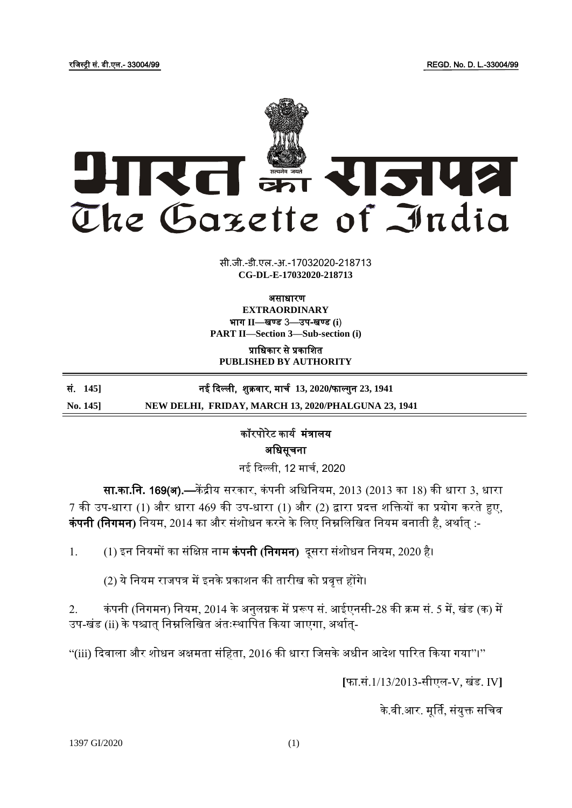

सी.जी.-डी.एल.-अ.-17032020-2187<mark>1</mark>3 **xxxGIDExxx CG-DL-E-17032020-218713**

असाधारण

**EXTRAORDINARY** भाग II-बण्ड 3-उप-खण्ड (i) **PART II—Section 3—Sub-section (i)**

प्राजधकार से प्रकाजित **PUBLISHED BY AUTHORITY**

सं. **145]** नई दिल्ली, िुक्रवार, माचय **13, 2020**/फाल् गुन **23, 1941 No. 145] NEW DELHI, FRIDAY, MARCH 13, 2020/PHALGUNA 23, 1941**

> कॉरपोरेट कार्य मंत्रालर् अजधसूचना

नई दिल्ली, 12 मार्च, 2020

सा**.**का**.**जन**.** 169(अ).—कें द्रीर् सरकार, कं पनी अजधजनर्म, 2013 (2013 का 18) की धारा 3, धारा 7 की उप-धारा (1) और धारा 469 की उप-धारा (1) और (2) द्वारा प्रदत्त शक्तियों का प्रयोग करते हुए, कं पनी **(**जनगमन**)** जनर्म, 2014 का और संिोधन करने के जलए जनम्नजलजखत जनर्म बनाती है, अर्ायत् :-

1. (1) इन जनर्मों का संजिप्त नाम कं पनी **(**जनगमन**)** िूसरा संिोधन जनर्म, 2020 है।

(2) ये नियम राजपत्र में इनके प्रकाशन की तारीख को प्रवृत्त होंगे।

2. कं पनी (जनगमन) जनर्म, 2014 के अनुलग्नक में प्ररूप सं. आईएनसी-28 की क्रम सं. 5 में, खंड (क) में उप-खंड (ii) के पश्चात् निम्नलिखित अंतःस्थापित किया जाएगा, अर्थात्-

"(iii) दिवाला और शोधन अक्षमता संहिता, 2016 की धारा जिसके अधीन आदेश पारित किया गया"।''

**[**फा.सं.1/13/2013**-**सीएल-V, खंड. IV**]**

के.वी.आर. मूर्ति, संयुक्त सचिव

1397 GI/2020 (1)